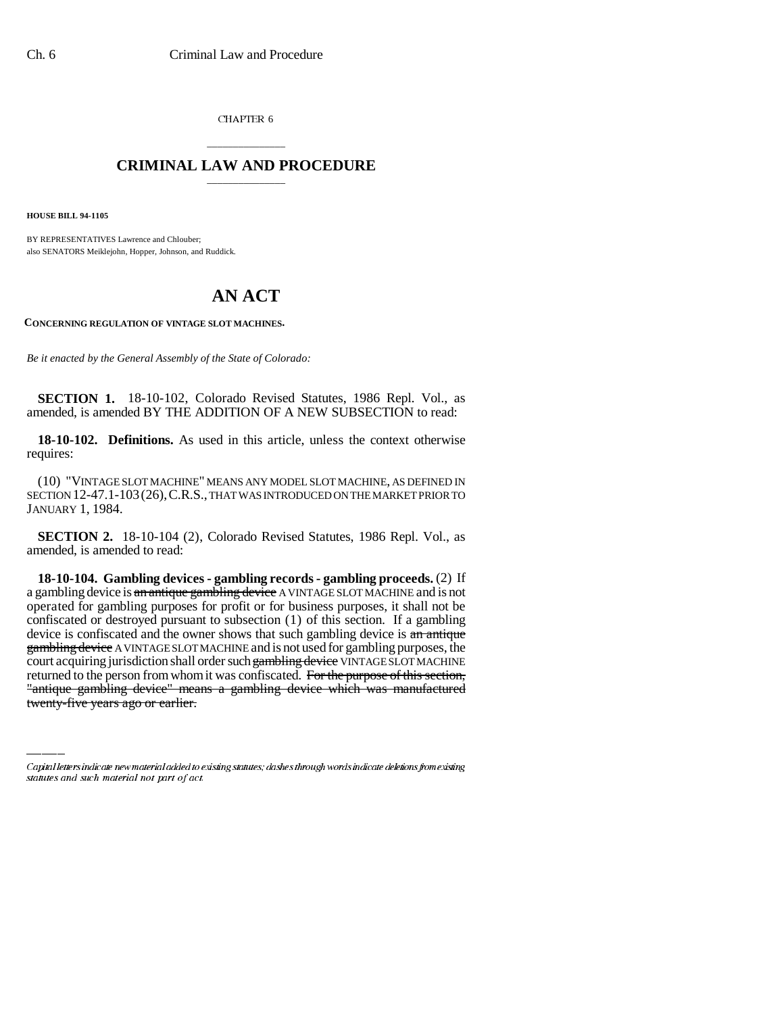CHAPTER 6

## \_\_\_\_\_\_\_\_\_\_\_\_\_\_\_ **CRIMINAL LAW AND PROCEDURE** \_\_\_\_\_\_\_\_\_\_\_\_\_\_\_

**HOUSE BILL 94-1105**

BY REPRESENTATIVES Lawrence and Chlouber; also SENATORS Meiklejohn, Hopper, Johnson, and Ruddick.

## **AN ACT**

**CONCERNING REGULATION OF VINTAGE SLOT MACHINES.**

*Be it enacted by the General Assembly of the State of Colorado:*

**SECTION 1.** 18-10-102, Colorado Revised Statutes, 1986 Repl. Vol., as amended, is amended BY THE ADDITION OF A NEW SUBSECTION to read:

**18-10-102. Definitions.** As used in this article, unless the context otherwise requires:

(10) "VINTAGE SLOT MACHINE" MEANS ANY MODEL SLOT MACHINE, AS DEFINED IN SECTION 12-47.1-103(26),C.R.S., THAT WAS INTRODUCED ON THE MARKET PRIOR TO JANUARY 1, 1984.

**SECTION 2.** 18-10-104 (2), Colorado Revised Statutes, 1986 Repl. Vol., as amended, is amended to read:

court acquiring jurisdiction shall order such gambling device VINTAGE SLOT MACHINE **18-10-104. Gambling devices - gambling records - gambling proceeds.** (2) If a gambling device is an antique gambling device A VINTAGE SLOT MACHINE and is not operated for gambling purposes for profit or for business purposes, it shall not be confiscated or destroyed pursuant to subsection (1) of this section. If a gambling device is confiscated and the owner shows that such gambling device is an antique gambling device A VINTAGE SLOT MACHINE and is not used for gambling purposes, the returned to the person from whom it was confiscated. For the purpose of this section, "antique gambling device" means a gambling device which was manufactured twenty-five years ago or earlier.

Capital letters indicate new material added to existing statutes; dashes through words indicate deletions from existing statutes and such material not part of act.